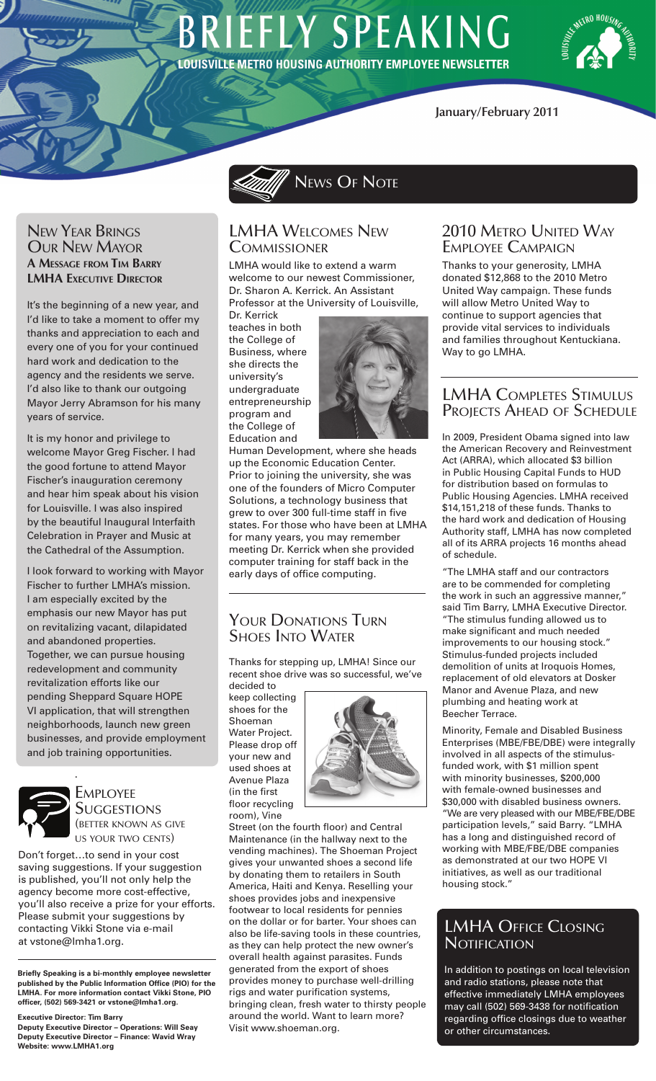# **BRIEFLY SPEAKING LOUISVILLE METRO HOUSING AUTHORITY EMPLOYEE NEWSLETTER**



## **January/February 2011**

New Year Brings Our New Mayor **A Message from Tim Barry LMHA EXECUTIVE DIRECTOR** 

It's the beginning of a new year, and I'd like to take a moment to offer my thanks and appreciation to each and every one of you for your continued hard work and dedication to the agency and the residents we serve. I'd also like to thank our outgoing Mayor Jerry Abramson for his many years of service.

It is my honor and privilege to welcome Mayor Greg Fischer. I had the good fortune to attend Mayor Fischer's inauguration ceremony and hear him speak about his vision for Louisville. I was also inspired by the beautiful Inaugural Interfaith Celebration in Prayer and Music at the Cathedral of the Assumption.

I look forward to working with Mayor Fischer to further LMHA's mission. I am especially excited by the emphasis our new Mayor has put on revitalizing vacant, dilapidated and abandoned properties. Together, we can pursue housing redevelopment and community revitalization efforts like our pending Sheppard Square HOPE VI application, that will strengthen neighborhoods, launch new green businesses, and provide employment and job training opportunities.



.

**EMPLOYEE SUGGESTIONS** (better known as give us your two cents)

Don't forget…to send in your cost saving suggestions. If your suggestion is published, you'll not only help the agency become more cost-effective, you'll also receive a prize for your efforts. Please submit your suggestions by contacting Vikki Stone via e-mail at vstone@lmha1.org.

**Briefly Speaking is a bi-monthly employee newsletter published by the Public Information Office (PIO) for the LMHA. For more information contact Vikki Stone, PIO officer, (502) 569-3421 or vstone@lmha1.org.**

**Executive Director: Tim Barry**

**Deputy Executive Director – Operations: Will Seay Deputy Executive Director – Finance: Wavid Wray Website: www.LMHA1.org**

 $\mathscr{P}$  News Of Note

## LMHA Welcomes New **COMMISSIONER**

LMHA would like to extend a warm welcome to our newest Commissioner, Dr. Sharon A. Kerrick. An Assistant Professor at the University of Louisville,

Dr. Kerrick teaches in both the College of Business, where she directs the university's undergraduate entrepreneurship program and the College of Education and



Human Development, where she heads up the Economic Education Center. Prior to joining the university, she was one of the founders of Micro Computer Solutions, a technology business that grew to over 300 full-time staff in five states. For those who have been at LMHA for many years, you may remember meeting Dr. Kerrick when she provided computer training for staff back in the early days of office computing.

# Your Donations Turn Shoes Into Water

Thanks for stepping up, LMHA! Since our recent shoe drive was so successful, we've decided to

keep collecting shoes for the Shoeman Water Project. Please drop off your new and used shoes at Avenue Plaza (in the first floor recycling room), Vine



Street (on the fourth floor) and Central Maintenance (in the hallway next to the vending machines). The Shoeman Project gives your unwanted shoes a second life by donating them to retailers in South America, Haiti and Kenya. Reselling your shoes provides jobs and inexpensive footwear to local residents for pennies on the dollar or for barter. Your shoes can also be life-saving tools in these countries, as they can help protect the new owner's overall health against parasites. Funds generated from the export of shoes provides money to purchase well-drilling rigs and water purification systems, bringing clean, fresh water to thirsty people around the world. Want to learn more? Visit www.shoeman.org.

# 2010 Metro United Way Employee Campaign

Thanks to your generosity, LMHA donated \$12,868 to the 2010 Metro United Way campaign. These funds will allow Metro United Way to continue to support agencies that provide vital services to individuals and families throughout Kentuckiana. Way to go LMHA.

# LMHA Completes Stimulus PROJECTS AHEAD OF SCHEDULE

In 2009, President Obama signed into law the American Recovery and Reinvestment Act (ARRA), which allocated \$3 billion in Public Housing Capital Funds to HUD for distribution based on formulas to Public Housing Agencies. LMHA received \$14,151,218 of these funds. Thanks to the hard work and dedication of Housing Authority staff, LMHA has now completed all of its ARRA projects 16 months ahead of schedule.

"The LMHA staff and our contractors are to be commended for completing the work in such an aggressive manner," said Tim Barry, LMHA Executive Director. "The stimulus funding allowed us to make significant and much needed improvements to our housing stock." Stimulus-funded projects included demolition of units at Iroquois Homes, replacement of old elevators at Dosker Manor and Avenue Plaza, and new plumbing and heating work at Beecher Terrace.

Minority, Female and Disabled Business Enterprises (MBE/FBE/DBE) were integrally involved in all aspects of the stimulusfunded work, with \$1 million spent with minority businesses, \$200,000 with female-owned businesses and \$30,000 with disabled business owners. "We are very pleased with our MBE/FBE/DBE participation levels," said Barry. "LMHA has a long and distinguished record of working with MBE/FBE/DBE companies as demonstrated at our two HOPE VI initiatives, as well as our traditional housing stock."

# LMHA Office Closing **NOTIFICATION**

In addition to postings on local television and radio stations, please note that effective immediately LMHA employees may call (502) 569-3438 for notification regarding office closings due to weather or other circumstances.